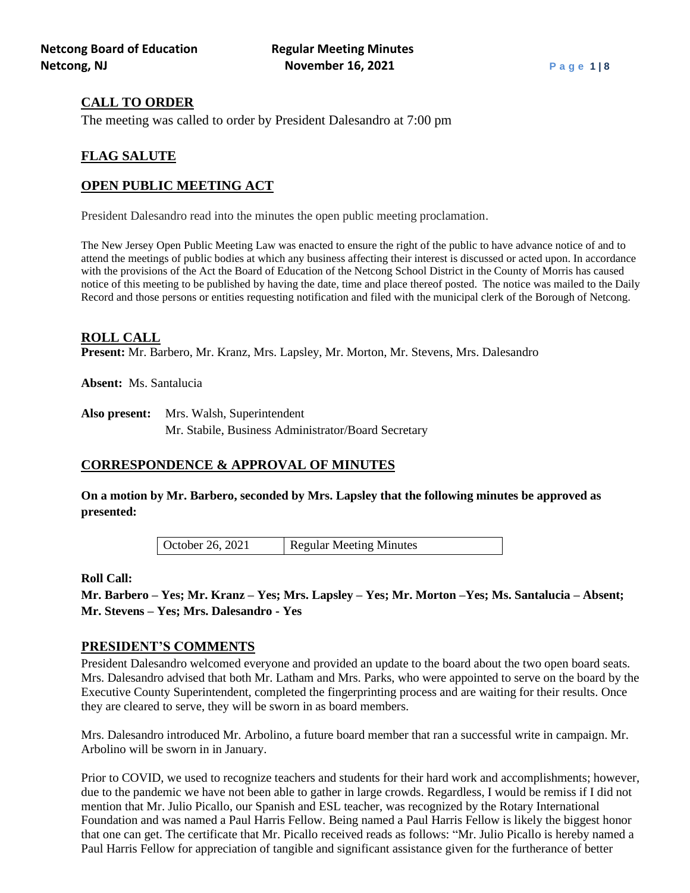## **CALL TO ORDER**

The meeting was called to order by President Dalesandro at 7:00 pm

# **FLAG SALUTE**

# **OPEN PUBLIC MEETING ACT**

President Dalesandro read into the minutes the open public meeting proclamation.

The New Jersey Open Public Meeting Law was enacted to ensure the right of the public to have advance notice of and to attend the meetings of public bodies at which any business affecting their interest is discussed or acted upon. In accordance with the provisions of the Act the Board of Education of the Netcong School District in the County of Morris has caused notice of this meeting to be published by having the date, time and place thereof posted. The notice was mailed to the Daily Record and those persons or entities requesting notification and filed with the municipal clerk of the Borough of Netcong.

## **ROLL CALL**

**Present:** Mr. Barbero, Mr. Kranz, Mrs. Lapsley, Mr. Morton, Mr. Stevens, Mrs. Dalesandro

**Absent:** Ms. Santalucia

**Also present:** Mrs. Walsh, Superintendent Mr. Stabile, Business Administrator/Board Secretary

## **CORRESPONDENCE & APPROVAL OF MINUTES**

**On a motion by Mr. Barbero, seconded by Mrs. Lapsley that the following minutes be approved as presented:**

October 26, 2021 Regular Meeting Minutes

## **Roll Call:**

**Mr. Barbero – Yes; Mr. Kranz – Yes; Mrs. Lapsley – Yes; Mr. Morton –Yes; Ms. Santalucia – Absent; Mr. Stevens – Yes; Mrs. Dalesandro - Yes**

### **PRESIDENT'S COMMENTS**

President Dalesandro welcomed everyone and provided an update to the board about the two open board seats. Mrs. Dalesandro advised that both Mr. Latham and Mrs. Parks, who were appointed to serve on the board by the Executive County Superintendent, completed the fingerprinting process and are waiting for their results. Once they are cleared to serve, they will be sworn in as board members.

Mrs. Dalesandro introduced Mr. Arbolino, a future board member that ran a successful write in campaign. Mr. Arbolino will be sworn in in January.

Prior to COVID, we used to recognize teachers and students for their hard work and accomplishments; however, due to the pandemic we have not been able to gather in large crowds. Regardless, I would be remiss if I did not mention that Mr. Julio Picallo, our Spanish and ESL teacher, was recognized by the Rotary International Foundation and was named a Paul Harris Fellow. Being named a Paul Harris Fellow is likely the biggest honor that one can get. The certificate that Mr. Picallo received reads as follows: "Mr. Julio Picallo is hereby named a Paul Harris Fellow for appreciation of tangible and significant assistance given for the furtherance of better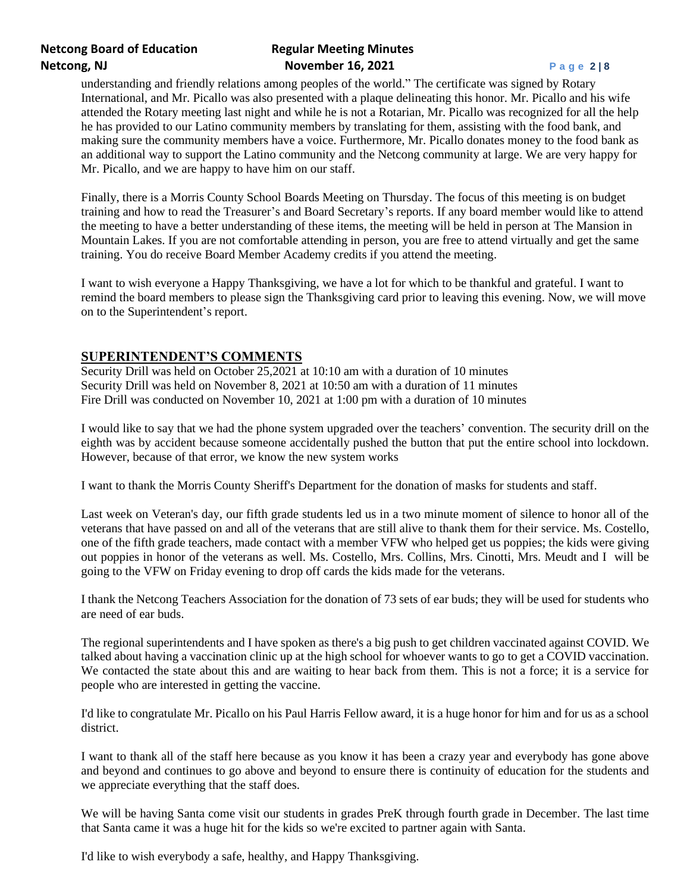# **Netcong Board of Education Regular Meeting Minutes Netcong, NJ Page 2 | 8 November 16, 2021 Page 2 | 8**

understanding and friendly relations among peoples of the world." The certificate was signed by Rotary International, and Mr. Picallo was also presented with a plaque delineating this honor. Mr. Picallo and his wife attended the Rotary meeting last night and while he is not a Rotarian, Mr. Picallo was recognized for all the help he has provided to our Latino community members by translating for them, assisting with the food bank, and making sure the community members have a voice. Furthermore, Mr. Picallo donates money to the food bank as an additional way to support the Latino community and the Netcong community at large. We are very happy for Mr. Picallo, and we are happy to have him on our staff.

Finally, there is a Morris County School Boards Meeting on Thursday. The focus of this meeting is on budget training and how to read the Treasurer's and Board Secretary's reports. If any board member would like to attend the meeting to have a better understanding of these items, the meeting will be held in person at The Mansion in Mountain Lakes. If you are not comfortable attending in person, you are free to attend virtually and get the same training. You do receive Board Member Academy credits if you attend the meeting.

I want to wish everyone a Happy Thanksgiving, we have a lot for which to be thankful and grateful. I want to remind the board members to please sign the Thanksgiving card prior to leaving this evening. Now, we will move on to the Superintendent's report.

## **SUPERINTENDENT'S COMMENTS**

 Security Drill was held on October 25,2021 at 10:10 am with a duration of 10 minutes Security Drill was held on November 8, 2021 at 10:50 am with a duration of 11 minutes Fire Drill was conducted on November 10, 2021 at 1:00 pm with a duration of 10 minutes

I would like to say that we had the phone system upgraded over the teachers' convention. The security drill on the eighth was by accident because someone accidentally pushed the button that put the entire school into lockdown. However, because of that error, we know the new system works

I want to thank the Morris County Sheriff's Department for the donation of masks for students and staff.

Last week on Veteran's day, our fifth grade students led us in a two minute moment of silence to honor all of the veterans that have passed on and all of the veterans that are still alive to thank them for their service. Ms. Costello, one of the fifth grade teachers, made contact with a member VFW who helped get us poppies; the kids were giving out poppies in honor of the veterans as well. Ms. Costello, Mrs. Collins, Mrs. Cinotti, Mrs. Meudt and I will be going to the VFW on Friday evening to drop off cards the kids made for the veterans.

I thank the Netcong Teachers Association for the donation of 73 sets of ear buds; they will be used for students who are need of ear buds.

The regional superintendents and I have spoken as there's a big push to get children vaccinated against COVID. We talked about having a vaccination clinic up at the high school for whoever wants to go to get a COVID vaccination. We contacted the state about this and are waiting to hear back from them. This is not a force; it is a service for people who are interested in getting the vaccine.

I'd like to congratulate Mr. Picallo on his Paul Harris Fellow award, it is a huge honor for him and for us as a school district.

I want to thank all of the staff here because as you know it has been a crazy year and everybody has gone above and beyond and continues to go above and beyond to ensure there is continuity of education for the students and we appreciate everything that the staff does.

We will be having Santa come visit our students in grades PreK through fourth grade in December. The last time that Santa came it was a huge hit for the kids so we're excited to partner again with Santa.

I'd like to wish everybody a safe, healthy, and Happy Thanksgiving.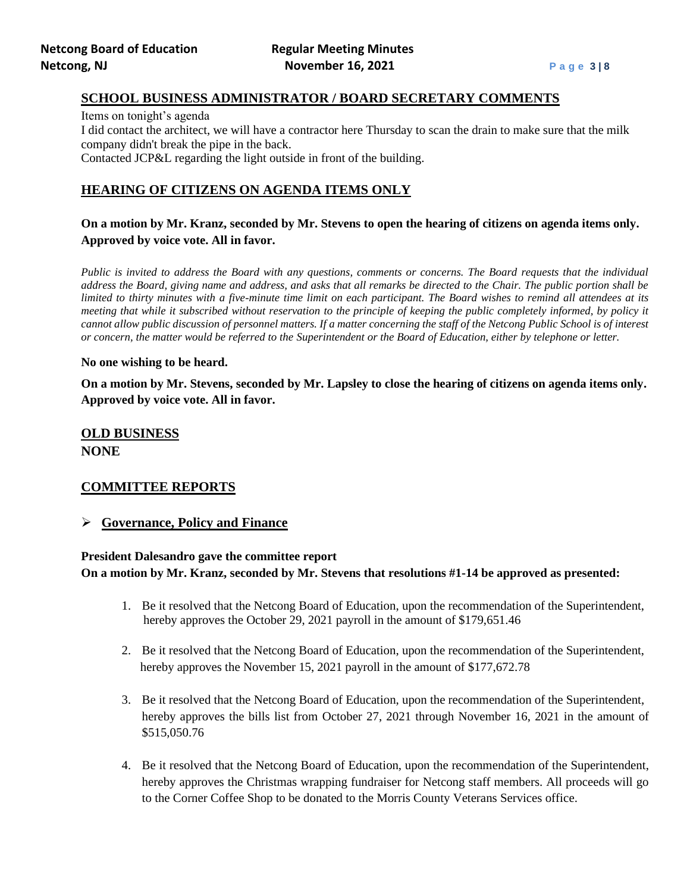### **SCHOOL BUSINESS ADMINISTRATOR / BOARD SECRETARY COMMENTS**

Items on tonight's agenda I did contact the architect, we will have a contractor here Thursday to scan the drain to make sure that the milk company didn't break the pipe in the back. Contacted JCP&L regarding the light outside in front of the building.

## **HEARING OF CITIZENS ON AGENDA ITEMS ONLY**

## **On a motion by Mr. Kranz, seconded by Mr. Stevens to open the hearing of citizens on agenda items only. Approved by voice vote. All in favor.**

*Public is invited to address the Board with any questions, comments or concerns. The Board requests that the individual address the Board, giving name and address, and asks that all remarks be directed to the Chair. The public portion shall be limited to thirty minutes with a five-minute time limit on each participant. The Board wishes to remind all attendees at its meeting that while it subscribed without reservation to the principle of keeping the public completely informed, by policy it cannot allow public discussion of personnel matters. If a matter concerning the staff of the Netcong Public School is of interest or concern, the matter would be referred to the Superintendent or the Board of Education, either by telephone or letter.*

#### **No one wishing to be heard.**

**On a motion by Mr. Stevens, seconded by Mr. Lapsley to close the hearing of citizens on agenda items only. Approved by voice vote. All in favor.**

# **OLD BUSINESS NONE**

## **COMMITTEE REPORTS**

## ➢ **Governance, Policy and Finance**

## **President Dalesandro gave the committee report On a motion by Mr. Kranz, seconded by Mr. Stevens that resolutions #1-14 be approved as presented:**

- 1. Be it resolved that the Netcong Board of Education, upon the recommendation of the Superintendent, hereby approves the October 29, 2021 payroll in the amount of \$179,651.46
- 2. Be it resolved that the Netcong Board of Education, upon the recommendation of the Superintendent, hereby approves the November 15, 2021 payroll in the amount of \$177,672.78
- 3. Be it resolved that the Netcong Board of Education, upon the recommendation of the Superintendent, hereby approves the bills list from October 27, 2021 through November 16, 2021 in the amount of \$515,050.76
- 4. Be it resolved that the Netcong Board of Education, upon the recommendation of the Superintendent, hereby approves the Christmas wrapping fundraiser for Netcong staff members. All proceeds will go to the Corner Coffee Shop to be donated to the Morris County Veterans Services office.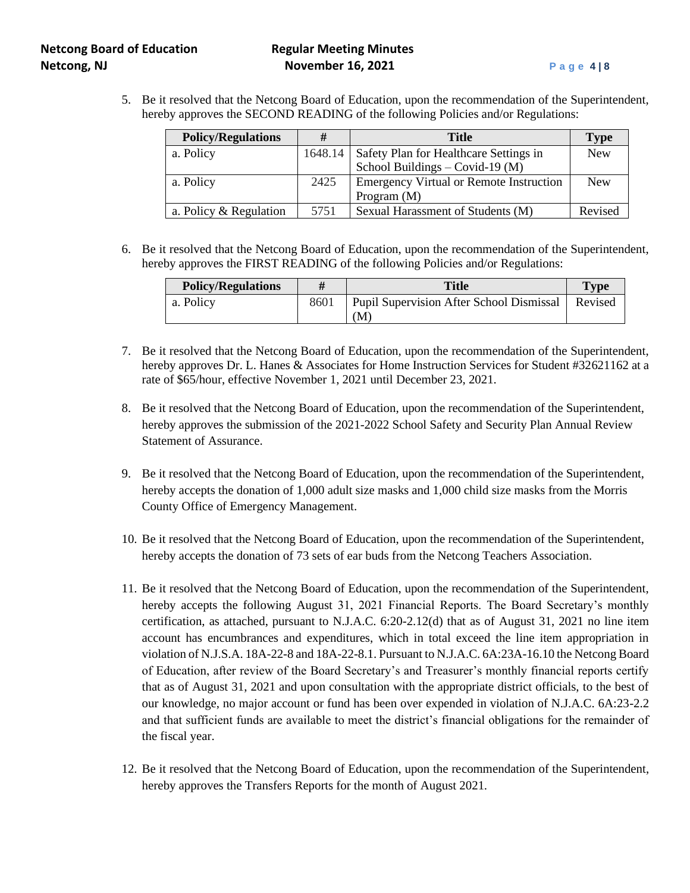# **Netcong Board of Education Regular Meeting Minutes Netcong, NJ November 16, 2021 Page 4** | 8

5. Be it resolved that the Netcong Board of Education, upon the recommendation of the Superintendent, hereby approves the SECOND READING of the following Policies and/or Regulations:

| <b>Policy/Regulations</b> | #    | <b>Title</b>                                     | <b>Type</b> |
|---------------------------|------|--------------------------------------------------|-------------|
| a. Policy                 |      | 1648.14   Safety Plan for Healthcare Settings in | <b>New</b>  |
|                           |      | School Buildings $-$ Covid-19 (M)                |             |
| a. Policy                 | 2425 | <b>Emergency Virtual or Remote Instruction</b>   | <b>New</b>  |
|                           |      | Program $(M)$                                    |             |
| a. Policy $&$ Regulation  | 5751 | Sexual Harassment of Students (M)                | Revised     |

6. Be it resolved that the Netcong Board of Education, upon the recommendation of the Superintendent, hereby approves the FIRST READING of the following Policies and/or Regulations:

| <b>Policy/Regulations</b> |      | Title                                          | <b>Type</b> |
|---------------------------|------|------------------------------------------------|-------------|
| a. Policy                 | 8601 | Pupil Supervision After School Dismissal<br>M. | Revised     |

- 7. Be it resolved that the Netcong Board of Education, upon the recommendation of the Superintendent, hereby approves Dr. L. Hanes & Associates for Home Instruction Services for Student #32621162 at a rate of \$65/hour, effective November 1, 2021 until December 23, 2021.
- 8. Be it resolved that the Netcong Board of Education, upon the recommendation of the Superintendent, hereby approves the submission of the 2021-2022 School Safety and Security Plan Annual Review Statement of Assurance.
- 9. Be it resolved that the Netcong Board of Education, upon the recommendation of the Superintendent, hereby accepts the donation of 1,000 adult size masks and 1,000 child size masks from the Morris County Office of Emergency Management.
- 10. Be it resolved that the Netcong Board of Education, upon the recommendation of the Superintendent, hereby accepts the donation of 73 sets of ear buds from the Netcong Teachers Association.
- 11. Be it resolved that the Netcong Board of Education, upon the recommendation of the Superintendent, hereby accepts the following August 31, 2021 Financial Reports. The Board Secretary's monthly certification, as attached, pursuant to N.J.A.C. 6:20-2.12(d) that as of August 31, 2021 no line item account has encumbrances and expenditures, which in total exceed the line item appropriation in violation of N.J.S.A. 18A-22-8 and 18A-22-8.1. Pursuant to N.J.A.C. 6A:23A-16.10 the Netcong Board of Education, after review of the Board Secretary's and Treasurer's monthly financial reports certify that as of August 31, 2021 and upon consultation with the appropriate district officials, to the best of our knowledge, no major account or fund has been over expended in violation of N.J.A.C. 6A:23-2.2 and that sufficient funds are available to meet the district's financial obligations for the remainder of the fiscal year.
- 12. Be it resolved that the Netcong Board of Education, upon the recommendation of the Superintendent, hereby approves the Transfers Reports for the month of August 2021.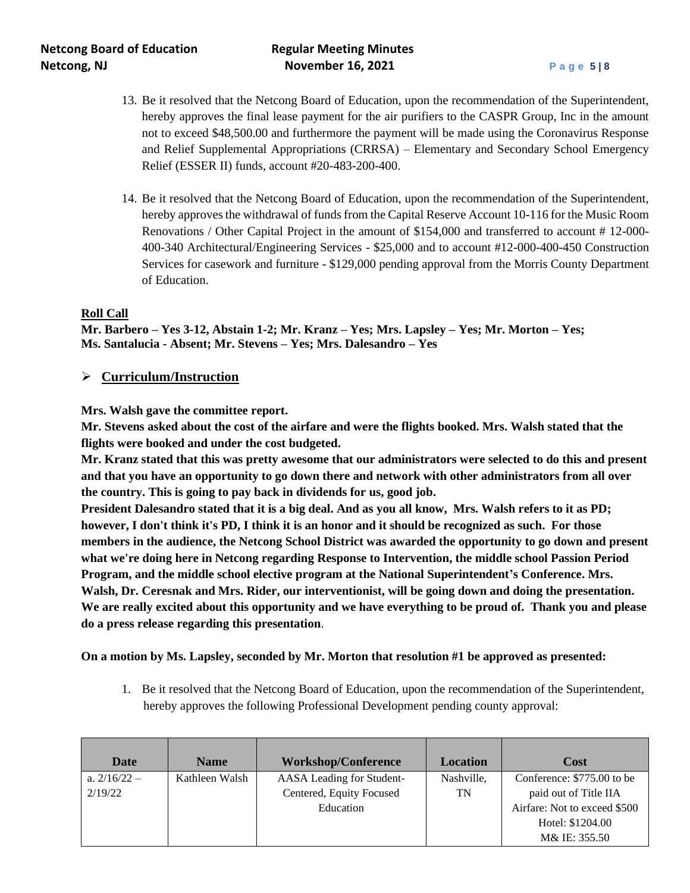- 13. Be it resolved that the Netcong Board of Education, upon the recommendation of the Superintendent, hereby approves the final lease payment for the air purifiers to the CASPR Group, Inc in the amount not to exceed \$48,500.00 and furthermore the payment will be made using the Coronavirus Response and Relief Supplemental Appropriations (CRRSA) – Elementary and Secondary School Emergency Relief (ESSER II) funds, account #20-483-200-400.
- 14. Be it resolved that the Netcong Board of Education, upon the recommendation of the Superintendent, hereby approves the withdrawal of funds from the Capital Reserve Account 10-116 for the Music Room Renovations / Other Capital Project in the amount of \$154,000 and transferred to account # 12-000- 400-340 Architectural/Engineering Services - \$25,000 and to account #12-000-400-450 Construction Services for casework and furniture - \$129,000 pending approval from the Morris County Department of Education.

### **Roll Call**

**Mr. Barbero – Yes 3-12, Abstain 1-2; Mr. Kranz – Yes; Mrs. Lapsley – Yes; Mr. Morton – Yes; Ms. Santalucia - Absent; Mr. Stevens – Yes; Mrs. Dalesandro – Yes**

## ➢ **Curriculum/Instruction**

### **Mrs. Walsh gave the committee report.**

**Mr. Stevens asked about the cost of the airfare and were the flights booked. Mrs. Walsh stated that the flights were booked and under the cost budgeted.**

**Mr. Kranz stated that this was pretty awesome that our administrators were selected to do this and present and that you have an opportunity to go down there and network with other administrators from all over the country. This is going to pay back in dividends for us, good job.**

**President Dalesandro stated that it is a big deal. And as you all know, Mrs. Walsh refers to it as PD; however, I don't think it's PD, I think it is an honor and it should be recognized as such. For those members in the audience, the Netcong School District was awarded the opportunity to go down and present what we're doing here in Netcong regarding Response to Intervention, the middle school Passion Period Program, and the middle school elective program at the National Superintendent's Conference. Mrs. Walsh, Dr. Ceresnak and Mrs. Rider, our interventionist, will be going down and doing the presentation. We are really excited about this opportunity and we have everything to be proud of. Thank you and please do a press release regarding this presentation**.

### **On a motion by Ms. Lapsley, seconded by Mr. Morton that resolution #1 be approved as presented:**

1. Be it resolved that the Netcong Board of Education, upon the recommendation of the Superintendent, hereby approves the following Professional Development pending county approval:

| Date           | <b>Name</b>    | <b>Workshop/Conference</b> | <b>Location</b> | Cost                         |
|----------------|----------------|----------------------------|-----------------|------------------------------|
| a. $2/16/22 -$ | Kathleen Walsh | AASA Leading for Student-  | Nashville,      | Conference: \$775.00 to be   |
| 2/19/22        |                | Centered, Equity Focused   | TN              | paid out of Title IIA        |
|                |                | Education                  |                 | Airfare: Not to exceed \$500 |
|                |                |                            |                 | Hotel: \$1204.00             |
|                |                |                            |                 | M& IE: 355.50                |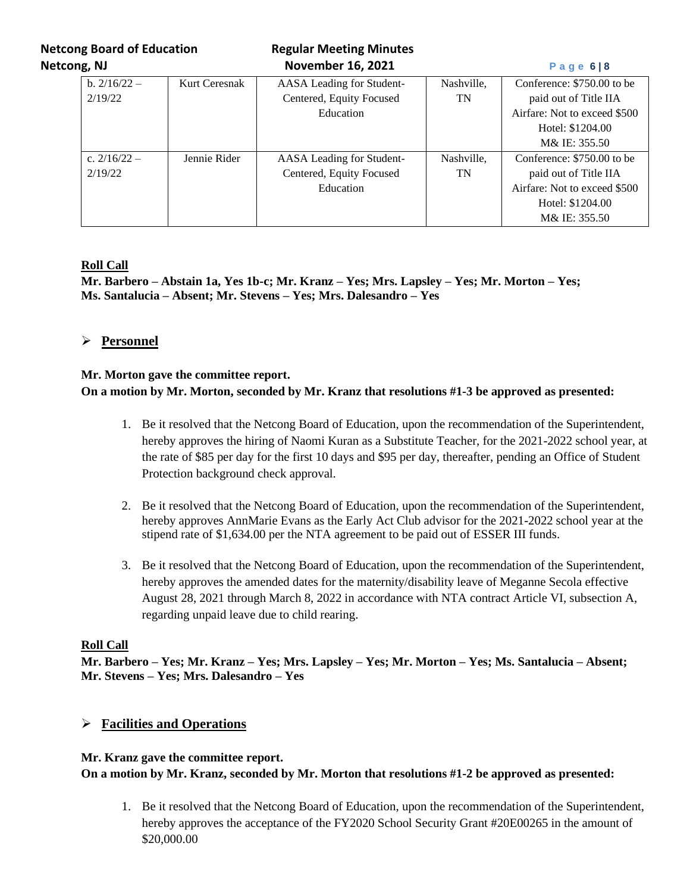**Netcong Board of Education Regular Meeting Minutes** 

| Netcong, NJ |                | <b>November 16, 2021</b> |                           |            | Page $6 8$                   |  |
|-------------|----------------|--------------------------|---------------------------|------------|------------------------------|--|
|             | b. $2/16/22 -$ | Kurt Ceresnak            | AASA Leading for Student- | Nashville, | Conference: \$750.00 to be   |  |
|             | 2/19/22        |                          | Centered, Equity Focused  | TN         | paid out of Title IIA        |  |
|             |                |                          | Education                 |            | Airfare: Not to exceed \$500 |  |
|             |                |                          |                           |            | Hotel: \$1204.00             |  |
|             |                |                          |                           |            | M& IE: 355.50                |  |
|             | c. $2/16/22 -$ | Jennie Rider             | AASA Leading for Student- | Nashville, | Conference: \$750.00 to be   |  |
|             | 2/19/22        |                          | Centered, Equity Focused  | <b>TN</b>  | paid out of Title IIA        |  |
|             |                |                          | Education                 |            | Airfare: Not to exceed \$500 |  |
|             |                |                          |                           |            | Hotel: \$1204.00             |  |
|             |                |                          |                           |            | M& IE: 355.50                |  |

## **Roll Call**

**Mr. Barbero – Abstain 1a, Yes 1b-c; Mr. Kranz – Yes; Mrs. Lapsley – Yes; Mr. Morton – Yes; Ms. Santalucia – Absent; Mr. Stevens – Yes; Mrs. Dalesandro – Yes**

## ➢ **Personnel**

### **Mr. Morton gave the committee report. On a motion by Mr. Morton, seconded by Mr. Kranz that resolutions #1-3 be approved as presented:**

- 1. Be it resolved that the Netcong Board of Education, upon the recommendation of the Superintendent, hereby approves the hiring of Naomi Kuran as a Substitute Teacher, for the 2021-2022 school year, at the rate of \$85 per day for the first 10 days and \$95 per day, thereafter, pending an Office of Student Protection background check approval.
- 2. Be it resolved that the Netcong Board of Education, upon the recommendation of the Superintendent, hereby approves AnnMarie Evans as the Early Act Club advisor for the 2021-2022 school year at the stipend rate of \$1,634.00 per the NTA agreement to be paid out of ESSER III funds.
- 3. Be it resolved that the Netcong Board of Education, upon the recommendation of the Superintendent, hereby approves the amended dates for the maternity/disability leave of Meganne Secola effective August 28, 2021 through March 8, 2022 in accordance with NTA contract Article VI, subsection A, regarding unpaid leave due to child rearing.

### **Roll Call**

**Mr. Barbero – Yes; Mr. Kranz – Yes; Mrs. Lapsley – Yes; Mr. Morton – Yes; Ms. Santalucia – Absent; Mr. Stevens – Yes; Mrs. Dalesandro – Yes**

## ➢ **Facilities and Operations**

### **Mr. Kranz gave the committee report.**

## **On a motion by Mr. Kranz, seconded by Mr. Morton that resolutions #1-2 be approved as presented:**

1. Be it resolved that the Netcong Board of Education, upon the recommendation of the Superintendent, hereby approves the acceptance of the FY2020 School Security Grant #20E00265 in the amount of \$20,000.00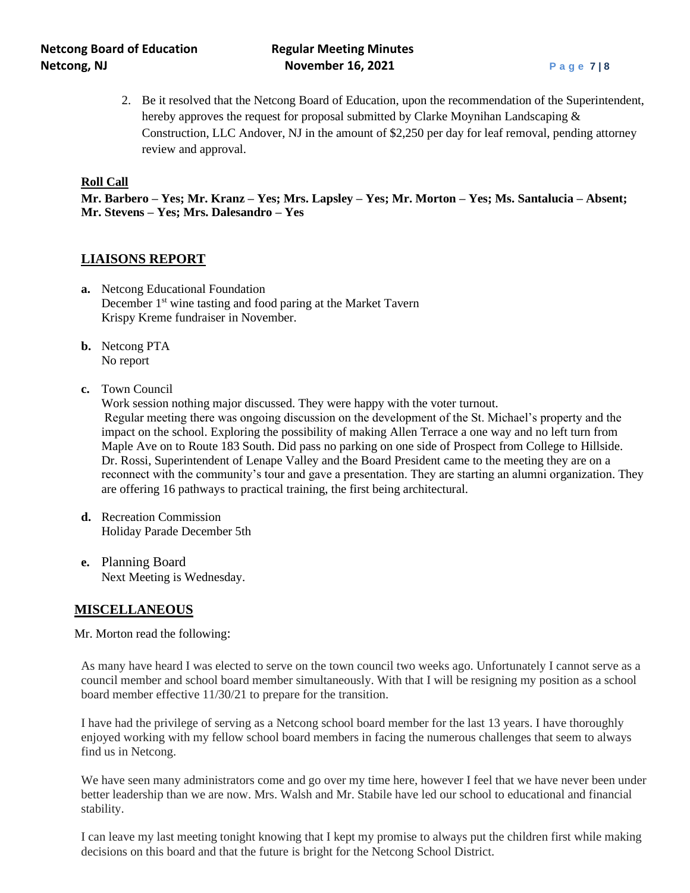# **Netcong Board of Education Regular Meeting Minutes Netcong, NJ Retcong, NJ November 16, 2021 Page 7** | 8

2. Be it resolved that the Netcong Board of Education, upon the recommendation of the Superintendent, hereby approves the request for proposal submitted by Clarke Moynihan Landscaping & Construction, LLC Andover, NJ in the amount of \$2,250 per day for leaf removal, pending attorney review and approval.

#### **Roll Call**

**Mr. Barbero – Yes; Mr. Kranz – Yes; Mrs. Lapsley – Yes; Mr. Morton – Yes; Ms. Santalucia – Absent; Mr. Stevens – Yes; Mrs. Dalesandro – Yes**

### **LIAISONS REPORT**

- **a.** Netcong Educational Foundation December 1<sup>st</sup> wine tasting and food paring at the Market Tavern Krispy Kreme fundraiser in November.
- **b.** Netcong PTA No report
- **c.** Town Council

Work session nothing major discussed. They were happy with the voter turnout. Regular meeting there was ongoing discussion on the development of the St. Michael's property and the impact on the school. Exploring the possibility of making Allen Terrace a one way and no left turn from Maple Ave on to Route 183 South. Did pass no parking on one side of Prospect from College to Hillside. Dr. Rossi, Superintendent of Lenape Valley and the Board President came to the meeting they are on a reconnect with the community's tour and gave a presentation. They are starting an alumni organization. They are offering 16 pathways to practical training, the first being architectural.

- **d.** Recreation Commission Holiday Parade December 5th
- **e.** Planning Board Next Meeting is Wednesday.

## **MISCELLANEOUS**

Mr. Morton read the following:

As many have heard I was elected to serve on the town council two weeks ago. Unfortunately I cannot serve as a council member and school board member simultaneously. With that I will be resigning my position as a school board member effective 11/30/21 to prepare for the transition.

I have had the privilege of serving as a Netcong school board member for the last 13 years. I have thoroughly enjoyed working with my fellow school board members in facing the numerous challenges that seem to always find us in Netcong.

We have seen many administrators come and go over my time here, however I feel that we have never been under better leadership than we are now. Mrs. Walsh and Mr. Stabile have led our school to educational and financial stability.

I can leave my last meeting tonight knowing that I kept my promise to always put the children first while making decisions on this board and that the future is bright for the Netcong School District.